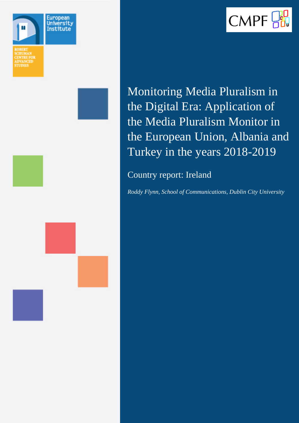



Monitoring Media Pluralism in the Digital Era: Application of the Media Pluralism Monitor in the European Union, Albania and Turkey in the years 2018-2019

Country report: Ireland

*Roddy Flynn, School of Communications, Dublin City University*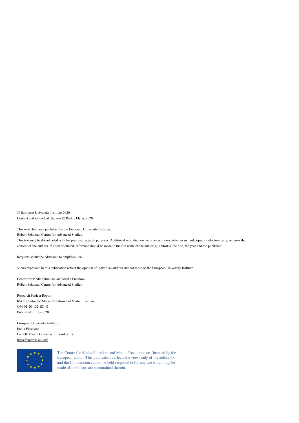© European University Institute 2020 Content and individual chapters © Roddy Flynn, 2020

This work has been published by the European University Institute,

Robert Schuman Centre for Advanced Studies.

This text may be downloaded only for personal research purposes. Additional reproduction for other purposes, whether in hard copies or electronically, requires the consent of the authors. If cited or quoted, reference should be made to the full name of the author(s), editor(s), the title, the year and the publisher.

Requests should be addressed to cmpf@eui.eu

Views expressed in this publication reflect the opinion of individual authors and not those of the European University Institute.

Centre for Media Pluralism and Media Freedom Robert Schuman Centre for Advanced Studies

Research Project Report RSC / Centre for Media Pluralism and Media Freedom QM-01-20-152-EN-N Published in July 2020

European University Institute Badia Fiesolana I – 50014 San Domenico di Fiesole (FI) <https://cadmus.eui.eu/>



The Centre for Media Pluralism and Media Freedom is co-financed by the European Union. This publication reflects the views only of the author(s), and the Commission cannot be held responsible for any use which may be made of the information contained therein.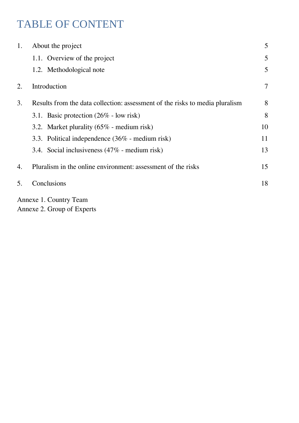# TABLE OF CONTENT

| 1. | About the project                                                            |        |  |
|----|------------------------------------------------------------------------------|--------|--|
|    | 1.1. Overview of the project                                                 | 5      |  |
|    | 1.2. Methodological note                                                     | 5      |  |
| 2. | Introduction                                                                 | $\tau$ |  |
| 3. | Results from the data collection: assessment of the risks to media pluralism |        |  |
|    | 3.1. Basic protection $(26\% - \text{low risk})$                             | 8      |  |
|    | 3.2. Market plurality $(65\%$ - medium risk)                                 | 10     |  |
|    | 3.3. Political independence (36% - medium risk)                              | 11     |  |
|    | 3.4. Social inclusiveness $(47\%$ - medium risk)                             | 13     |  |
| 4. | Pluralism in the online environment: assessment of the risks                 |        |  |
| 5. | Conclusions                                                                  | 18     |  |
|    | Annexe 1. Country Team                                                       |        |  |

Annexe 2. Group of Experts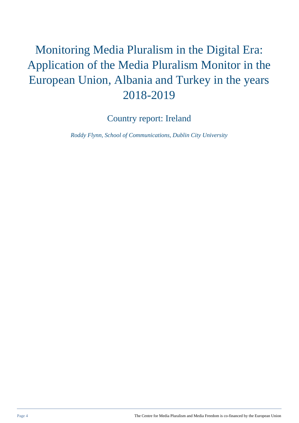# Monitoring Media Pluralism in the Digital Era: Application of the Media Pluralism Monitor in the European Union, Albania and Turkey in the years 2018-2019

Country report: Ireland

*Roddy Flynn, School of Communications, Dublin City University*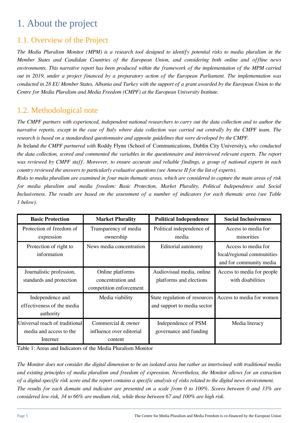## 1. About the project

#### 1.1. Overview of the Project

*The Media Pluralism Monitor (MPM) is a research tool designed to identify potential risks to media pluralism in the Member States and Candidate Countries of the European Union, and considering both online and offline news environments. This narrative report has been produced within the framework of the implementation of the MPM carried out in 2019, under a project financed by a preparatory action of the European Parliament. The implementation was conducted in 28 EU Member States, Albania and Turkey with the support of a grant awarded by the European Union to the Centre for Media Pluralism and Media Freedom (CMPF) at the European University Institute.*

#### 1.2. Methodological note

*The CMPF partners with experienced, independent national researchers to carry out the data collection and to author the narrative reports, except in the case of Italy where data collection was carried out centrally by the CMPF team. The research is based on a standardised questionnaire and apposite guidelines that were developed by the CMPF.*

*In* Ireland *the CMPF partnered with* Roddy Flynn (School of Communications, Dublin City University)*, who conducted the data collection, scored and commented the variables in the questionnaire and interviewed relevant experts. The report was reviewed by CMPF staff. Moreover, to ensure accurate and reliable findings, a group of national experts in each country reviewed the answers to particularly evaluative questions (see Annexe II for the list of experts).*

*Risks to media pluralism are examined in four main thematic areas, which are considered to capture the main areas of risk for media pluralism and media freedom: Basic Protection, Market Plurality, Political Independence and Social Inclusiveness. The results are based on the assessment of a number of indicators for each thematic area (see Table 1 below).* 

| <b>Basic Protection</b>                                               | <b>Market Plurality</b>                                          | <b>Political Independence</b>                                | <b>Social Inclusiveness</b>                                                  |
|-----------------------------------------------------------------------|------------------------------------------------------------------|--------------------------------------------------------------|------------------------------------------------------------------------------|
| Protection of freedom of<br>expression                                | Transparency of media<br>ownership                               | Political independence of<br>media                           | Access to media for<br>minorities                                            |
| Protection of right to<br>information                                 | News media concentration                                         | Editorial autonomy                                           | Access to media for<br>local/regional communities<br>and for community media |
| Journalistic profession,<br>standards and protection                  | Online platforms<br>concentration and<br>competition enforcement | Audiovisual media, online<br>platforms and elections         | Access to media for people<br>with disabilities                              |
| Independence and<br>effectiveness of the media<br>authority           | Media viability                                                  | State regulation of resources<br>and support to media sector | Access to media for women                                                    |
| Universal reach of traditional<br>media and access to the<br>Internet | Commercial & owner<br>influence over editorial<br>content        | Independence of PSM<br>governance and funding                | Media literacy                                                               |

Table 1: Areas and Indicators of the Media Pluralism Monitor

*The Monitor does not consider the digital dimension to be an isolated area but rather as intertwined with traditional media and existing principles of media pluralism and freedom of expression. Nevertheless, the Monitor allows for an extraction of a digital-specific risk score and the report contains a specific analysis of risks related to the digital news environment. The results for each domain and indicator are presented on a scale from 0 to 100%. Scores between 0 and 33% are considered low risk, 34 to 66% are medium risk, while those between 67 and 100% are high risk.*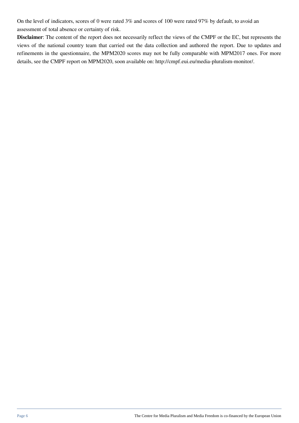On the level of indicators, scores of 0 were rated 3% and scores of 100 were rated 97% by default, to avoid an assessment of total absence or certainty of risk.

**Disclaimer**: The content of the report does not necessarily reflect the views of the CMPF or the EC, but represents the views of the national country team that carried out the data collection and authored the report. Due to updates and refinements in the questionnaire, the MPM2020 scores may not be fully comparable with MPM2017 ones. For more details, see the CMPF report on MPM2020, soon available on: http://cmpf.eui.eu/media-pluralism-monitor/.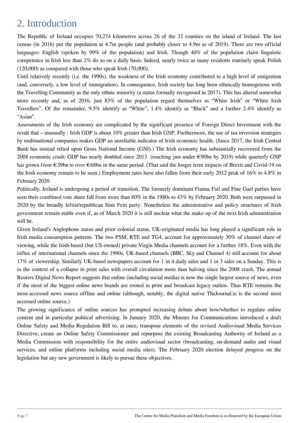### 2. Introduction

The Republic of Ireland occupies 70,274 kilometres across 26 of the 32 counties on the island of Ireland. The last census (in 2016) put the population at 4.7m people (and probably closer to 4.9m as of 2019). There are two official languages: English (spoken by 99% of the population) and Irish. Though 40% of the population claim linguistic competence in Irish less than 2% do so on a daily basis. Indeed, nearly twice as many residents routinely speak Polish (120,000) as compared with those who speak Irish (70,000).

Until relatively recently (i.e. the 1990s), the weakness of the Irish economy contributed to a high level of emigration (and, conversely, a low level of immigration). In consequence, Irish society has long been ethnically homogenous with the Travelling Community as the only ethnic minority (a status formally recognised in 2017). This has altered somewhat more recently and, as of 2016, just 83% of the population regard themselves as "White Irish" or "White Irish Travellers". Of the remainder, 9.5% identify as "White", 1.4% identify as "Black" and a further 2.4% identify as "Asian".

Assessments of the Irish economy are complicated by the significant presence of Foreign Direct Investment with the result that – unusually - Irish GDP is about 10% greater than Irish GNP. Furthermore, the use of tax inversion strategies by multinational companies makes GDP an unreliable indicator of Irish economic health. (Since 2017, the Irish Central Bank has instead relied upon Gross National Income (GNI).) The Irish economy has substantially recovered from the 2008 economic crash: GDP has nearly doubled since 2013 (reaching just under €90bn by 2019) while quarterly GNP has grown from €39bn to over €68bn in the same period. (That said the longer term impacts of Brexit and Covid-19 on the Irish economy remain to be seen.) Employment rates have also fallen from their early 2012 peak of 16% to 4.8% in February 2020.

Politically, Ireland is undergoing a period of transition. The formerly dominant Fianna Fail and Fine Gael parties have seen their combined vote share fall from more than 80% in the 1980s to 43% by February 2020. Both were surpassed in 2020 by the broadly leftist/republican Sinn Fein party. Nonetheless the administrative and policy structures of Irish government remain stable even if, as of March 2020 it is still unclear what the make-up of the next Irish administration will be.

Given Ireland's Anglophone status and prior colonial status, UK-originated media has long played a significant role in Irish media consumption patterns. The two PSM, RTE and TG4, account for approximately 30% of channel share of viewing, while the Irish-based (but US-owned) private Virgin Media channels account for a further 18%. Even with the influx of international channels since the 1990s, UK-based channels (BBC, Sky and Channel 4) still account for about 17% of viewership. Similarly UK-based newspapers account for 1 in 4 daily sales and 1 in 3 sales on a Sunday. This is in the context of a collapse in print sales with overall circulation more than halving since the 2008 crash. The annual Reuters Digital News Report suggests that online (including social media) is now the single largest source of news, even if the most of the biggest online news brands are rooted in print and broadcast legacy outlets. Thus RTE remains the most-accessed news source offline and online (although, notably, the digital native TheJournal.ie is the second most accessed online source.)

The growing significance of online sources has prompted increasing debate about how/whether to regulate online content and in particular political advertising. In January 2020, the Minster for Communications introduced a draft Online Safety and Media Regulation Bill to, at once, transpose elements of the revised Audiovisual Media Services Directive, create an Online Safety Commissioner and repurpose the existing Broadcasting Authority of Ireland as a Media Commission with responsibility for the entire audiovisual sector (broadcasting, on-demand audio and visual services, and online platforms including social media sites). The February 2020 election delayed progress on the legislation but any new government is likely to pursue these objectives.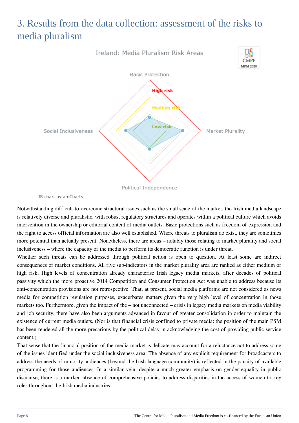## 3. Results from the data collection: assessment of the risks to media pluralism



JS chart by amCharts

Notwithstanding difficult-to-overcome structural issues such as the small scale of the market, the Irish media landscape is relatively diverse and pluralistic, with robust regulatory structures and operates within a political culture which avoids intervention in the ownership or editorial content of media outlets. Basic protections such as freedom of expression and the right to access official information are also well established. Where threats to pluralism do exist, they are sometimes more potential than actually present. Nonetheless, there are areas – notably those relating to market plurality and social inclusiveness – where the capacity of the media to perform its democratic function is under threat.

Whether such threats can be addressed through political action is open to question. At least some are indirect consequences of market conditions. All five sub-indicators in the market plurality area are ranked as either medium or high risk. High levels of concentration already characterise Irish legacy media markets, after decades of political passivity which the more proactive 2014 Competition and Consumer Protection Act was unable to address because its anti-concentration provisions are not retrospective. That, at present, social media platforms are not considered as news media for competition regulation purposes, exacerbates matters given the very high level of concentration in those markets too. Furthermore, given the impact of the – not unconnected – crisis in legacy media markets on media viability and job security, there have also been arguments advanced in favour of greater consolidation in order to maintain the existence of current media outlets. (Nor is that financial crisis confined to private media: the position of the main PSM has been rendered all the more precarious by the political delay in acknowledging the cost of providing public service content.)

That sense that the financial position of the media market is delicate may account for a reluctance not to address some of the issues identified under the social inclusiveness area. The absence of any explicit requirement for broadcasters to address the needs of minority audiences (beyond the Irish language community) is reflected in the paucity of available programming for those audiences. In a similar vein, despite a much greater emphasis on gender equality in public discourse, there is a marked absence of comprehensive policies to address disparities in the access of women to key roles throughout the Irish media industries.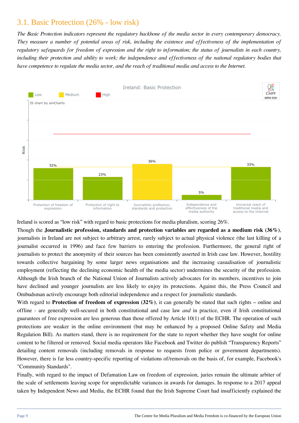#### 3.1. Basic Protection (26% - low risk)

*The Basic Protection indicators represent the regulatory backbone of the media sector in every contemporary democracy. They measure a number of potential areas of risk, including the existence and effectiveness of the implementation of regulatory safeguards for freedom of expression and the right to information; the status of journalists in each country, including their protection and ability to work; the independence and effectiveness of the national regulatory bodies that have competence to regulate the media sector, and the reach of traditional media and access to the Internet.*



Ireland is scored as "low risk" with regard to basic protections for media pluralism, scoring 26%.

Though the **Journalistic profession, standards and protection variables are regarded as a medium risk (36%)**, journalists in Ireland are not subject to arbitrary arrest, rarely subject to actual physical violence (the last killing of a journalist occurred in 1996) and face few barriers to entering the profession. Furthermore, the general right of journalists to protect the anonymity of their sources has been consistently asserted in Irish case law. However, hostility towards collective bargaining by some larger news organisations and the increasing casualisation of journalistic employment (reflecting the declining economic health of the media sector) undermines the security of the profession. Although the Irish branch of the National Union of Journalists actively advocates for its members, incentives to join have declined and younger journalists are less likely to enjoy its protections. Against this, the Press Council and Ombudsman actively encourage both editorial independence and a respect for journalistic standards.

With regard to **Protection of freedom of expression (32%)**, it can generally be stated that such rights – online and offline - are generally well-secured in both constitutional and case law *and* in practice, even if Irish constitutional guarantees of free expression are less generous than those offered by Article 10(1) of the ECHR. The operation of such protections are weaker in the online environment (but may be enhanced by a proposed Online Safety and Media Regulation Bill). As matters stand, there is no requirement for the state to report whether they have sought for online content to be filtered or removed. Social media operators like Facebook and Twitter do publish "Transparency Reports" detailing content removals (including removals in response to requests from police or government departments). However, there is far less country-specific reporting of violations of/removals on the basis of, for example, Facebook's "Community Standards".

Finally, with regard to the impact of Defamation Law on freedom of expression, juries remain the ultimate arbiter of the scale of settlements leaving scope for unpredictable variances in awards for damages. In response to a 2017 appeal taken by Independent News and Media, the ECHR found that the Irish Supreme Court had insufficiently explained the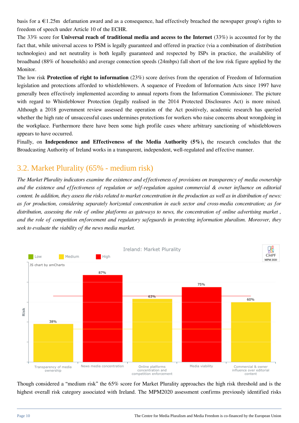basis for a €1.25m defamation award and as a consequence, had effectively breached the newspaper group's rights to freedom of speech under Article 10 of the ECHR.

The 33% score for **Universal reach of traditional media and access to the Internet** (33%) is accounted for by the fact that, while universal access to PSM is legally guaranteed and offered in practice (via a combination of distribution technologies) and net neutrality is both legally guaranteed and respected by ISPs in practice, the availability of broadband (88% of households) and average connection speeds (24mbps) fall short of the low risk figure applied by the Monitor.

The low risk **Protection of right to information** (23%) score derives from the operation of Freedom of Information legislation and protections afforded to whistleblowers. A sequence of Freedom of Information Acts since 1997 have generally been effectively implemented according to annual reports from the Information Commissioner. The picture with regard to Whistleblower Protection (legally realised in the 2014 Protected Disclosures Act) is more mixed. Although a 2018 government review assessed the operation of the Act positively, academic research has queried whether the high rate of unsuccessful cases undermines protections for workers who raise concerns about wrongdoing in the workplace. Furthermore there have been some high profile cases where arbitrary sanctioning of whistleblowers appears to have occurred.

Finally, on **Independence and Effectiveness of the Media Authority (5%),** the research concludes that the Broadcasting Authority of Ireland works in a transparent, independent, well-regulated and effective manner.

#### 3.2. Market Plurality (65% - medium risk)

*The Market Plurality indicators examine the existence and effectiveness of provisions on transparency of media ownership and the existence and effectiveness of regulation or self-regulation against commercial & owner influence on editorial content. In addition, they assess the risks related to market concentration in the production as well as in distribution of news: as for production, considering separately horizontal concentration in each sector and cross-media concentration; as for distribution, assessing the role of online platforms as gateways to news, the concentration of online advertising market , and the role of competition enforcement and regulatory safeguards in protecting information pluralism. Moreover, they seek to evaluate the viability of the news media market.*



Though considered a "medium risk" the 65% score for Market Plurality approaches the high risk threshold and is the highest overall risk category associated with Ireland. The MPM2020 assessment confirms previously identified risks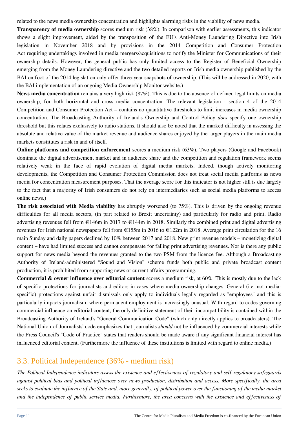related to the news media ownership concentration and highlights alarming risks in the viability of news media.

**Transparency of media ownership** scores medium risk (38%). In comparison with earlier assessments, this indicator shows a slight improvement, aided by the transposition of the EU's Anti-Money Laundering Directive into Irish legislation in November 2018 and by provisions in the 2014 Competition and Consumer Protection Act requiring undertakings involved in media mergers/acquisitions to notify the Minister for Communications of their ownership details. However, the general public has only limited access to the Register of Beneficial Ownership emerging from the Money Laundering directive and the two detailed reports on Irish media ownership published by the BAI on foot of the 2014 legislation only offer three-year snapshots of ownership. (This will be addressed in 2020, with the BAI implementation of an ongoing Media Ownership Monitor website.)

**News media concentration** remains a very high risk (87%). This is due to the absence of defined legal limits on media ownership, for both horizontal and cross media concentration. The relevant legislation - section 4 of the 2014 Competition and Consumer Protection Act – contains no quantitative thresholds to limit increases in media ownership concentration. The Broadcasting Authority of Ireland's Ownership and Control Policy *does* specify one ownership threshold but this relates exclusively to radio stations. It should also be noted that the marked difficulty in assessing the absolute and relative value of the market revenue and audience shares enjoyed by the larger players in the main media markets constitutes a risk in and of itself.

**Online platforms and competition enforcement** scores a medium risk (63%). Two players (Google and Facebook) dominate the digital advertisement market and in audience share and the competition and regulation framework seems relatively weak in the face of rapid evolution of digital media markets. Indeed, though actively monitoring developments, the Competition and Consumer Protection Commission does not treat social media platforms as news media for concentration measurement purposes. That the average score for this indicator is not higher still is due largely to the fact that a majority of Irish consumers do not rely on intermediaries such as social media platforms to access online news.)

**The risk associated with Media viability** has abruptly worsened (to 75%). This is driven by the ongoing revenue difficulties for all media sectors, (in part related to Brexit uncertainty) and particularly for radio and print. Radio advertising revenues fell from €146m in 2017 to €144m in 2018. Similarly the combined print and digital advertising revenues for Irish national newspapers fell from  $\epsilon$ 155m in 2016 to  $\epsilon$ 122m in 2018. Average print circulation for the 16 main Sunday and daily papers declined by 10% between 2017 and 2018. New print revenue models – monetizing digital content – have had limited success and cannot compensate for falling print advertising revenues. Nor is there any public support for news media beyond the revenues granted to the two PSM from the licence fee. Although a Broadcasting Authority of Ireland-administered "Sound and Vision" scheme funds both public and private broadcast content production, it is prohibited from supporting news or current affairs programming.

**Commercial & owner influence over editorial content** scores a medium risk, at 60%. This is mostly due to the lack of specific protections for journalists and editors in cases where media ownership changes. General (i.e. not mediaspecific) protections against unfair dismissals only apply to individuals legally regarded as "employees" and this is particularly impacts journalism, where permanent employment is increasingly unusual. With regard to codes governing commercial influence on editorial content, the only definitive statement of their incompatibility is contained within the Broadcasting Authority of Ireland's "General Communication Code" (which only directly applies to broadcasters). The National Union of Journalists' code emphasizes that journalists *should* not be influenced by commercial interests while the Press Council's "Code of Practice" states that readers should be made aware if any significant financial interest has influenced editorial content. (Furthermore the influence of these institutions is limited with regard to online media.)

#### 3.3. Political Independence (36% - medium risk)

*The Political Independence indicators assess the existence and effectiveness of regulatory and self-regulatory safeguards against political bias and political influences over news production, distribution and access. More specifically, the area seeks to evaluate the influence of the State and, more generally, of political power over the functioning of the media market and the independence of public service media. Furthermore, the area concerns with the existence and effectiveness of*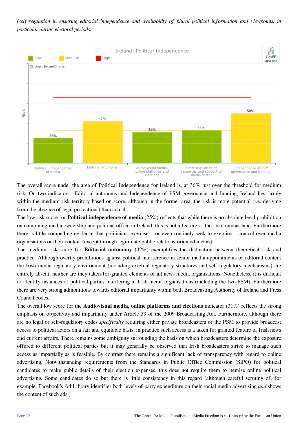*(self)regulation in ensuring editorial independence and availability of plural political information and viewpoints, in particular during electoral periods.*



The overall score under the area of Political Independence for Ireland is, at 36% just over the threshold for medium risk. On two indicators– Editorial autonomy and Independence of PSM governance and funding, Ireland lies firmly within the medium risk territory based on score, although in the former area, the risk is more potential (i.e. deriving from the absence of legal protections) than actual.

The low risk score for **Political independence of media** (25%) reflects that while there is no absolute legal prohibition on combining media ownership and political office in Ireland, this is not a feature of the local mediascape. Furthermore there is little compelling evidence that politicians exercise – or even routinely seek to exercise – control over media organisations or their content (except through legitimate public relations-oriented means).

The medium risk score for **Editorial autonomy** (42%) exemplifies the distinction between theoretical risk and practice. Although overtly prohibitions against political interference in senior media appointments or editorial content the Irish media regulatory environment (including external regulatory structures and self-regulatory mechanisms) are entirely absent, neither are they taken-for-granted elements of all news media organisations. Nonetheless, it is difficult to identify instances of political parties interfering in Irish media organisations (including the two PSM). Furthermore there are very strong admonitions towards editorial impartiality within both Broadcasting Authority of Ireland and Press Council codes.

The overall low score for the **Audiovisual media, online platforms and elections** indicator (31%) reflects the strong emphasis on objectivity and impartiality under Article 39 of the 2009 Broadcasting Act. Furthermore, although there are no legal or self-regulatory codes *specifically* requiring either private broadcasters or the PSM to provide broadcast access to political actors on a fair and equitable basis, in practice such access is a taken for granted feature of Irish news and current affairs. There remains some ambiguity surrounding the basis on which broadcasters determine the exposure offered to different political parties but it may generally be observed that Irish broadcasters strive to manage such access as impartially as is feasible. By contrast there remains a significant lack of transparency with regard to online advertising. Notwithstanding requirements from the Standards in Public Office Commission (SIPO) for political candidates to make public details of their election expenses, this does not require them to itemise online political advertising. Some candidates do so but there is little consistency in this regard (although careful scrutiny of, for example, Facebook's Ad Library identifies both levels of party expenditure on their social media advertising *and* shows the content of such ads.)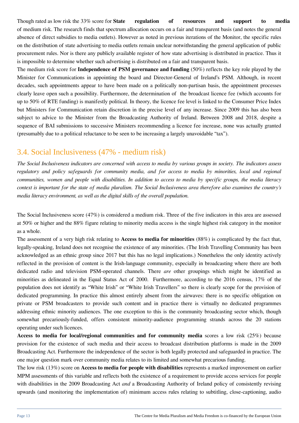Though rated as low risk the 33% score for **State** regulation of resources and support to media of medium risk. The research finds that spectrum allocation occurs on a fair and transparent basis (and notes the general absence of direct subsidies to media outlets). However as noted in previous iterations of the Monitor, the specific rules on the distribution of state advertising to media outlets remain unclear notwithstanding the general application of public procurement rules. Nor is there any publicly available register of how state advertising is distributed in practice. Thus it is impossible to determine whether such advertising is distributed on a fair and transparent basis.

The medium risk score for **Independence of PSM governance and funding** (50%) reflects the key role played by the Minister for Communications in appointing the board and Director-General of Ireland's PSM. Although, in recent decades, such appointments appear to have been made on a politically non-partisan basis, the appointment processes clearly leave open such a possibility. Furthermore, the determination of the broadcast licence fee (which accounts for up to 50% of RTE funding) is manifestly political. In theory, the licence fee level is linked to the Consumer Price Index but Ministers for Communication retain discretion in the precise level of any increase. Since 2009 this has also been subject to advice to the Minister from the Broadcasting Authority of Ireland. Between 2008 and 2018, despite a sequence of BAI submissions to successive Ministers recommending a licence fee increase, none was actually granted (presumably due to a political reluctance to be seen to be increasing a largely unavoidable "tax").

#### 3.4. Social Inclusiveness (47% - medium risk)

*The Social Inclusiveness indicators are concerned with access to media by various groups in society. The indicators assess regulatory and policy safeguards for community media, and for access to media by minorities, local and regional communities, women and people with disabilities. In addition to access to media by specific groups, the media literacy context is important for the state of media pluralism. The Social Inclusiveness area therefore also examines the country's media literacy environment, as well as the digital skills of the overall population.*

The Social Inclusiveness score (47%) is considered a medium risk. Three of the five indicators in this area are assessed at 50% or higher and the 88% figure relating to minority media access is the single highest risk category in the monitor as a whole.

The assessment of a very high risk relating to **Access to media for minorities** (88%) is complicated by the fact that, legally-speaking, Ireland does not recognise the existence of any minorities. (The Irish Travelling Community has been acknowledged as an ethnic group since 2017 but this has no legal implications.) Nonetheless the only identity actively reflected in the provision of content is the Irish-language community, especially in broadcasting where there are both dedicated radio and television PSM-operated channels. There *are* other groupings which might be identified as minorities as delineated in the Equal Status Act of 2000. Furthermore, according to the 2016 census, 17% of the population does not identify as "White Irish" or "White Irish Travellers" so there is clearly scope for the provision of dedicated programming. In practice this almost entirely absent from the airwaves: there is no specific obligation on private or PSM broadcasters to provide such content and in practice there is virtually no dedicated programmes addressing ethnic minority audiences. The one exception to this is the community broadcasting sector which, though somewhat precariously-funded, offers consistent minority-audience programming strands across the 20 stations operating under such licences.

**Access to media for local/regional communities and for community media** scores a low risk (25%) because provision for the existence of such media and their access to broadcast distribution platforms is made in the 2009 Broadcasting Act. Furthermore the independence of the sector is both legally protected and safeguarded in practice. The one major question mark over community media relates to its limited and somewhat precarious funding.

The low risk (13%) score on **Access to media for people with disabilities** represents a marked improvement on earlier MPM assessments of this variable and reflects both the existence of a requirement to provide access services for people with disabilities in the 2009 Broadcasting Act *and* a Broadcasting Authority of Ireland policy of consistently revising upwards (and monitoring the implementation of) minimum access rules relating to subtitling, close-captioning, audio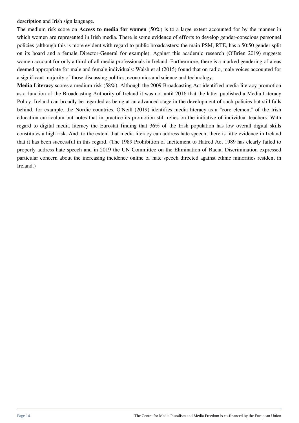description and Irish sign language.

The medium risk score on **Access to media for women** (50%) is to a large extent accounted for by the manner in which women are represented in Irish media. There is some evidence of efforts to develop gender-conscious personnel policies (although this is more evident with regard to public broadcasters: the main PSM, RTE, has a 50:50 gender split on its board and a female Director-General for example). Against this academic research (O'Brien 2019) suggests women account for only a third of all media professionals in Ireland. Furthermore, there is a marked gendering of areas deemed appropriate for male and female individuals: Walsh et al (2015) found that on radio, male voices accounted for a significant majority of those discussing politics, economics and science and technology.

**Media Literacy** scores a medium risk (58%). Although the 2009 Broadcasting Act identified media literacy promotion as a function of the Broadcasting Authority of Ireland it was not until 2016 that the latter published a Media Literacy Policy. Ireland can broadly be regarded as being at an advanced stage in the development of such policies but still falls behind, for example, the Nordic countries. O'Neill (2019) identifies media literacy as a "core element" of the Irish education curriculum but notes that in practice its promotion still relies on the initiative of individual teachers. With regard to digital media literacy the Eurostat finding that 36% of the Irish population has low overall digital skills constitutes a high risk. And, to the extent that media literacy can address hate speech, there is little evidence in Ireland that it has been successful in this regard. (The 1989 Prohibition of Incitement to Hatred Act 1989 has clearly failed to properly address hate speech and in 2019 the UN Committee on the Elimination of Racial Discrimination expressed particular concern about the increasing incidence online of hate speech directed against ethnic minorities resident in Ireland.)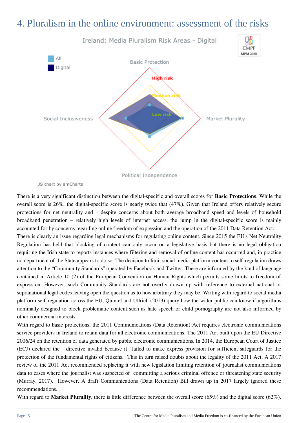### 4. Pluralism in the online environment: assessment of the risks



JS chart by amCharts

There is a very significant distinction between the digital-specific and overall scores for **Basic Protections**. While the overall score is 26%, the digital-specific score is nearly twice that (47%). Given that Ireland offers relatively secure protections for net neutrality and – despite concerns about both average broadband speed and levels of household broadband penetration – relatively high levels of internet access, the jump in the digital-specific score is mainly accounted for by concerns regarding online freedom of expression and the operation of the 2011 Data Retention Act.

There is clearly an issue regarding legal mechanisms for regulating online content. Since 2015 the EU's Net Neutrality Regulation has held that blocking of content can only occur on a legislative basis but there is no legal obligation requiring the Irish state to reports instances where filtering and removal of online content has occurred and, in practice no department of the State appears to do so. The decision to limit social media platform content to self-regulation draws attention to the "Community Standards" operated by Facebook and Twitter. These are informed by the kind of language contained in Article 10 (2) of the European Convention on Human Rights which permits some limits to freedom of expression. However, such Community Standards are not overtly drawn up with reference to external national or supranational legal codes leaving open the question as to how arbitrary they may be. Writing with regard to social media platform self-regulation across the EU, Quintel and Ullrich (2019) query how the wider public can know if algorithms nominally designed to block problematic content such as hate speech or child pornography are not also informed by other commercial interests.

With regard to basic protections, the 2011 Communications (Data Retention) Act requires electronic communications service providers in Ireland to retain data for all electronic communications. The 2011 Act built upon the EU Directive 2006/24 on the retention of data generated by public electronic communications. In 2014, the European Court of Justice (ECJ) declared the directive invalid because it "failed to make express provision for sufficient safeguards for the protection of the fundamental rights of citizens." This in turn raised doubts about the legality of the 2011 Act. A 2017 review of the 2011 Act recommended replacing it with new legislation limiting retention of journalist communications data to cases where the journalist was suspected of committing a serious criminal offence or threatening state security (Murray, 2017). However, A draft Communications (Data Retention) Bill drawn up in 2017 largely ignored these recommendations.

With regard to **Market Plurality**, there is little difference between the overall score (65%) and the digital score (62%).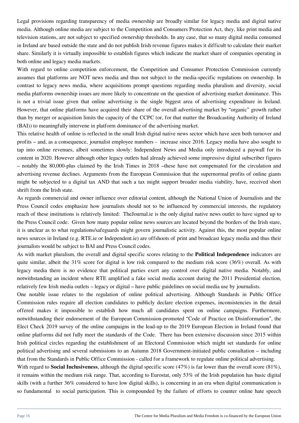Legal provisions regarding transparency of media ownership are broadly similar for legacy media and digital native media. Although online media are subject to the Competition and Consumers Protection Act, they, like print media and television stations, are not subject to specified ownership thresholds. In any case, that so many digital media consumed in Ireland are based outside the state and do not publish Irish revenue figures makes it difficult to calculate their market share. Similarly it is virtually impossible to establish figures which indicate the market share of companies operating in both online and legacy media markets.

With regard to online competition enforcement, the Competition and Consumer Protection Commission currently assumes that platforms are NOT news media and thus not subject to the media-specific regulations on ownership. In contrast to legacy news media, where acquisitions prompt questions regarding media pluralism and diversity, social media platforms ownership issues are more likely to concentrate on the question of advertising market dominance. This is not a trivial issue given that online advertising is the single biggest area of advertising expenditure in Ireland. However, that online platforms have acquired their share of the overall advertising market by "organic" growth rather than by merger or acquisition limits the capacity of the CCPC (or, for that matter the Broadcasting Authority of Ireland (BAI)) to meaningfully intervene in platform dominance of the advertising market.

This relative health of online is reflected in the small Irish digital native news sector which have seen both turnover and profits – and, as a consequence, journalist employee numbers - increase since 2016. Legacy media have also sought to tap into online revenues, albeit sometimes slowly: Independent News and Media only introduced a paywall for its content in 2020. However although other legacy outlets had already achieved some impressive digital subscriber figures – notably the 80,000-plus claimed by the Irish Times in 2018 –these have not compensated for the circulation and advertising revenue declines. Arguments from the European Commission that the supernormal profits of online giants might be subjected to a digital tax AND that such a tax might support broader media viability, have, received short shrift from the Irish state.

As regards commercial and owner influence over editorial content, although the National Union of Journalists and the Press Council codes emphasize how journalists should not to be influenced by commercial interests, the regulatory reach of these institutions is relatively limited: TheJournal.ie is the only digital native news outlet to have signed up to the Press Council code. Given how many popular online news sources are located beyond the borders of the Irish stare, it is unclear as to what regulations/safeguards might govern journalistic activity. Against this, the most popular online news sources in Ireland (e.g. RTE.ie or Independent.ie) are offshoots of print and broadcast legacy media and thus their journalists would be subject to BAI and Press Council codes.

As with market pluralism, the overall and digital specific scores relating to the **Political Independence** indicators are quite similar, albeit the 31% score for digital is low risk compared to the medium risk score (36%) overall. As with legacy media there is no evidence that political parties exert any control over digital native media. Notably, and notwithstanding an incident where RTE amplified a fake social media account during the 2011 Presidential election, relatively few Irish media outlets – legacy or digital – have public guidelines on social media use by journalists.

One notable issue relates to the regulation of online political advertising. Although Standards in Public Office Commission rules require all election candidates to publicly declare election expenses, inconsistencies in the detail offered makes it impossible to establish how much all candidates spent on online campaigns. Furthermore, notwithstanding their endorsement of the European Commission-promoted "Code of Practice on Disinformation", the Elect Check 2019 survey of the online campaigns in the lead-up to the 2019 European Election in Ireland found that online platforms did not fully meet the standards of the Code. There has been extensive discussion since 2015 within Irish political circles regarding the establishment of an Electoral Commission which might set standards for online political advertising and several submissions to an Autumn 2018 Government-initiated public consultation – including that from the Standards in Public Office Commission - called for a framework to regulate online political advertising.

With regard to **Social Inclusiveness**, although the digital specific score (47%) is far lower than the overall score (81%), it remains within the medium risk range. That, according to Eurostat, only 53% of the Irish population has basic digital skills (with a further 36% considered to have low digital skills), is concerning in an era when digital communication is so fundamental to social participation. This is compounded by the failure of efforts to counter online hate speech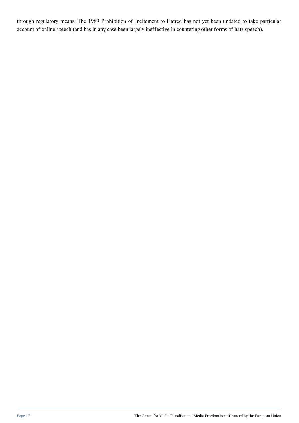through regulatory means. The 1989 Prohibition of Incitement to Hatred has not yet been undated to take particular account of online speech (and has in any case been largely ineffective in countering other forms of hate speech).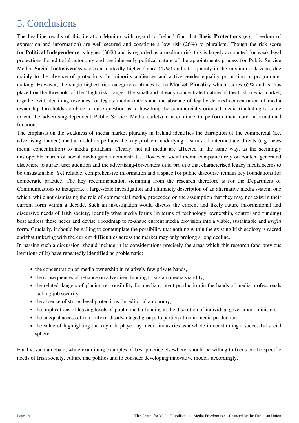### 5. Conclusions

The headline results of this iteration Monitor with regard to Ireland find that **Basic Protections** (e.g. freedom of expression and information) are well secured and constitute a low risk (26%) to pluralism. Though the risk score for **Political Independence** is higher (36%) and is regarded as a medium risk this is largely accounted for weak legal protections for editorial autonomy and the inherently political nature of the appointments process for Public Service Media. **Social Inclusiveness** scores a markedly higher figure (47%) and sits squarely in the medium risk zone, due mainly to the absence of protections for minority audiences and active gender equality promotion in programmemaking. However, the single highest risk category continues to be **Market Plurality** which scores 65% and is thus placed on the threshold of the "high risk" range. The small and already concentrated nature of the Irish media market, together with declining revenues for legacy media outlets and the absence of legally defined concentration of media ownership thresholds combine to raise question as to how long the commercially-oriented media (including to some extent the advertising-dependent Public Service Media outlets) can continue to perform their core informational functions.

The emphasis on the weakness of media market plurality in Ireland identifies the disruption of the commercial (i.e. advertising funded) media model as perhaps the key problem underlying a series of intermediate threats (e.g. news media concentration) to media pluralism. Clearly, not all media are affected in the same way, as the seemingly unstoppable march of social media giants demonstrates. However, social media companies rely on content generated elsewhere to attract user attention and the advertising-for-content quid pro quo that characterised legacy media seems to be unsustainable. Yet reliable, comprehensive information and a space for public discourse remain key foundations for democratic practice. The key recommendation stemming from the research therefore is for the Department of Communications to inaugurate a large-scale investigation and ultimately description of an alternative media system, one which, while not dismissing the role of commercial media, proceeded on the assumption that they may not exist in their current form within a decade. Such an investigation would discuss the current and likely future informational and discursive needs of Irish society, identify what media forms (in terms of technology, ownership, control and funding) best address those needs and devise a roadmap to re-shape current media provision into a viable, sustainable and *useful* form. Crucially, it should be willing to contemplate the possibility that nothing within the existing Irish ecology is sacred and that tinkering with the current difficulties across the market may only prolong a long decline.

In passing such a discussion should include in its considerations precisely the areas which this research (and previous iterations of it) have repeatedly identified as problematic:

- the concentration of media ownership in relatively few private hands,
- the consequences of reliance on advertiser-funding to sustain media viability,
- the related dangers of placing responsibility for media content production in the hands of media professionals lacking job security
- the absence of strong legal protections for editorial autonomy,
- the implications of leaving levels of public media funding at the discretion of individual government ministers
- the unequal access of minority or disadvantaged groups to participation in media production
- the value of highlighting the key role played by media industries as a whole in constituting a successful social sphere.

Finally, such a debate, while examining examples of best practice elsewhere, should be willing to focus on the specific needs of Irish society, culture and politics and to consider developing innovative models accordingly.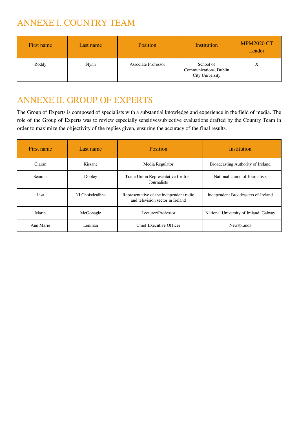### ANNEXE I. COUNTRY TEAM

| First name | Last name    | <b>Position</b>            | Institution                                            | <b>MPM2020 CT</b><br>Leader |
|------------|--------------|----------------------------|--------------------------------------------------------|-----------------------------|
| Roddy      | <b>Flynn</b> | <b>Associate Professor</b> | School of<br>Communications, Dublin<br>City University | X                           |

### ANNEXE II. GROUP OF EXPERTS

The Group of Experts is composed of specialists with a substantial knowledge and experience in the field of media. The role of the Group of Experts was to review especially sensitive/subjective evaluations drafted by the Country Team in order to maximize the objectivity of the replies given, ensuring the accuracy of the final results.

| First name                               | Last name       | <b>Position</b>                                                             | Institution                         |
|------------------------------------------|-----------------|-----------------------------------------------------------------------------|-------------------------------------|
| Ciaran                                   | Kissane         | Media Regulator                                                             | Broadcasting Authority of Ireland   |
| <b>Seamus</b>                            | Dooley          | Trade Union Representative for Irish<br>Journalists                         | National Union of Journalists       |
| Lisa                                     | NI Choisdealbha | Representative of the independent radio<br>and television sector in Ireland | Independent Broadcasters of Ireland |
| Marie<br>Lecturer/Professor<br>McGonagle |                 | National University of Ireland, Galway                                      |                                     |
| Ann Marie<br>Lenihan                     |                 | Chief Executive Officer                                                     | <b>Newsbrands</b>                   |